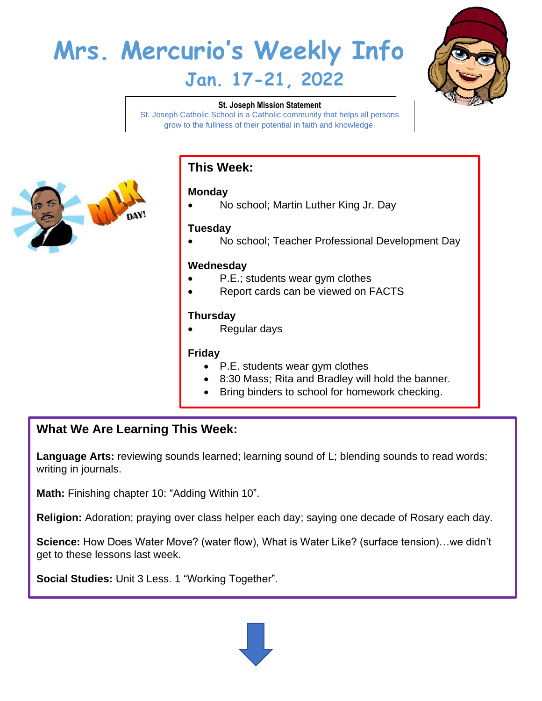# **Mrs. Mercurio's Weekly Info Jan. 17-21, 2022**



#### **St. Joseph Mission Statement**

St. Joseph Catholic School is a Catholic community that helps all persons grow to the fullness of their potential in faith and knowledge.



## **This Week:**

### **Monday**

• No school; Martin Luther King Jr. Day

### **Tuesday**

• No school; Teacher Professional Development Day

#### **Wednesday**

- P.E.; students wear gym clothes
- Report cards can be viewed on FACTS

#### **Thursday**

• Regular days

#### **Friday**

- P.E. students wear gym clothes
- 8:30 Mass; Rita and Bradley will hold the banner.
- Bring binders to school for homework checking.

# **What We Are Learning This Week:**

Language Arts: reviewing sounds learned; learning sound of L; blending sounds to read words; writing in journals.

**Math:** Finishing chapter 10: "Adding Within 10".

**Religion:** Adoration; praying over class helper each day; saying one decade of Rosary each day.

**Science:** How Does Water Move? (water flow), What is Water Like? (surface tension)…we didn't get to these lessons last week.

**Social Studies:** Unit 3 Less. 1 "Working Together".